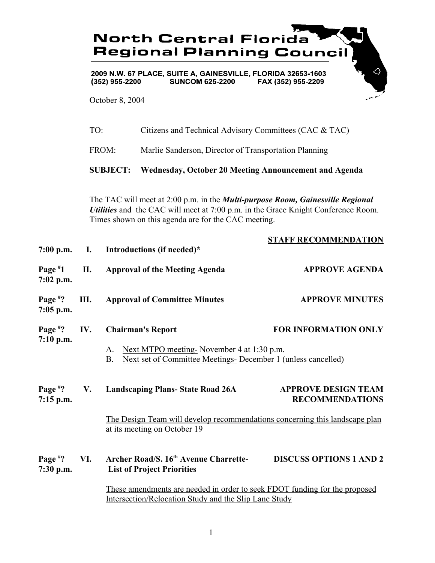|                           |                                                                                                                                                                                                                                                  | <b>North Central Florida</b><br><b>Regional Planning Council</b>                                                              |                                                       |  |  |
|---------------------------|--------------------------------------------------------------------------------------------------------------------------------------------------------------------------------------------------------------------------------------------------|-------------------------------------------------------------------------------------------------------------------------------|-------------------------------------------------------|--|--|
|                           | 2009 N.W. 67 PLACE, SUITE A, GAINESVILLE, FLORIDA 32653-1603<br><b>SUNCOM 625-2200</b><br>FAX (352) 955-2209<br>$(352)$ 955-2200<br>October 8, 2004                                                                                              |                                                                                                                               |                                                       |  |  |
|                           |                                                                                                                                                                                                                                                  |                                                                                                                               |                                                       |  |  |
|                           | TO:                                                                                                                                                                                                                                              | Citizens and Technical Advisory Committees (CAC & TAC)                                                                        |                                                       |  |  |
|                           |                                                                                                                                                                                                                                                  | FROM:                                                                                                                         | Marlie Sanderson, Director of Transportation Planning |  |  |
|                           | <b>SUBJECT:</b><br>Wednesday, October 20 Meeting Announcement and Agenda                                                                                                                                                                         |                                                                                                                               |                                                       |  |  |
|                           | The TAC will meet at 2:00 p.m. in the <i>Multi-purpose Room</i> , <i>Gainesville Regional</i><br><i>Utilities</i> and the CAC will meet at 7:00 p.m. in the Grace Knight Conference Room.<br>Times shown on this agenda are for the CAC meeting. |                                                                                                                               |                                                       |  |  |
| $7:00$ p.m.               | I.                                                                                                                                                                                                                                               | Introductions (if needed)*                                                                                                    | <b>STAFF RECOMMENDATION</b>                           |  |  |
| Page $*1$<br>$7:02$ p.m.  | П.                                                                                                                                                                                                                                               | <b>Approval of the Meeting Agenda</b>                                                                                         | <b>APPROVE AGENDA</b>                                 |  |  |
| Page $*$ ?<br>$7:05$ p.m. | Ш.                                                                                                                                                                                                                                               | <b>Approval of Committee Minutes</b>                                                                                          | <b>APPROVE MINUTES</b>                                |  |  |
| Page $*$ ?                | IV.                                                                                                                                                                                                                                              | <b>Chairman's Report</b>                                                                                                      | <b>FOR INFORMATION ONLY</b>                           |  |  |
| 7:10 p.m.                 |                                                                                                                                                                                                                                                  | Next MTPO meeting-November 4 at 1:30 p.m.<br>A.<br>Next set of Committee Meetings- December 1 (unless cancelled)<br><b>B.</b> |                                                       |  |  |
| Page $*$ ?<br>$7:15$ p.m. | V.                                                                                                                                                                                                                                               | <b>Landscaping Plans-State Road 26A</b>                                                                                       | <b>APPROVE DESIGN TEAM</b><br><b>RECOMMENDATIONS</b>  |  |  |
|                           |                                                                                                                                                                                                                                                  | The Design Team will develop recommendations concerning this landscape plan<br>at its meeting on October 19                   |                                                       |  |  |
| Page $*$ ?<br>7:30 p.m.   | VI.                                                                                                                                                                                                                                              | Archer Road/S. 16 <sup>th</sup> Avenue Charrette-<br><b>List of Project Priorities</b>                                        | <b>DISCUSS OPTIONS 1 AND 2</b>                        |  |  |
|                           | These amendments are needed in order to seek FDOT funding for the proposed<br>Intersection/Relocation Study and the Slip Lane Study                                                                                                              |                                                                                                                               |                                                       |  |  |

1